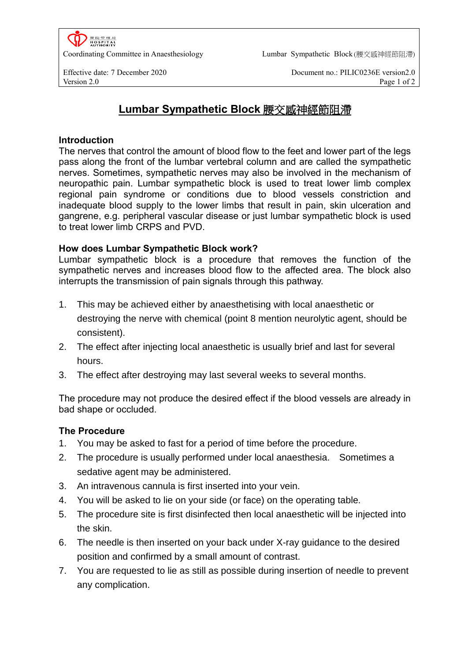

Coordinating Committee in Anaesthesiology Lumbar Sympathetic Block (腰交感神經節阻滯)

Effective date: 7 December 2020 Document no.: PILIC0236E version2.0 Version 2.0 Page 1 of 2

# **Lumbar Sympathetic Block** 腰交感神經節阻滯

#### **Introduction**

The nerves that control the amount of blood flow to the feet and lower part of the legs pass along the front of the lumbar vertebral column and are called the sympathetic nerves. Sometimes, sympathetic nerves may also be involved in the mechanism of neuropathic pain. Lumbar sympathetic block is used to treat lower limb complex regional pain syndrome or conditions due to blood vessels constriction and inadequate blood supply to the lower limbs that result in pain, skin ulceration and gangrene, e.g. peripheral vascular disease or just lumbar sympathetic block is used to treat lower limb CRPS and PVD.

#### **How does Lumbar Sympathetic Block work?**

Lumbar sympathetic block is a procedure that removes the function of the sympathetic nerves and increases blood flow to the affected area. The block also interrupts the transmission of pain signals through this pathway.

- 1. This may be achieved either by anaesthetising with local anaesthetic or destroying the nerve with chemical (point 8 mention neurolytic agent, should be consistent).
- 2. The effect after injecting local anaesthetic is usually brief and last for several hours.
- 3. The effect after destroying may last several weeks to several months.

The procedure may not produce the desired effect if the blood vessels are already in bad shape or occluded.

## **The Procedure**

- 1. You may be asked to fast for a period of time before the procedure.
- 2. The procedure is usually performed under local anaesthesia. Sometimes a sedative agent may be administered.
- 3. An intravenous cannula is first inserted into your vein.
- 4. You will be asked to lie on your side (or face) on the operating table.
- 5. The procedure site is first disinfected then local anaesthetic will be injected into the skin.
- 6. The needle is then inserted on your back under X-ray guidance to the desired position and confirmed by a small amount of contrast.
- 7. You are requested to lie as still as possible during insertion of needle to prevent any complication.